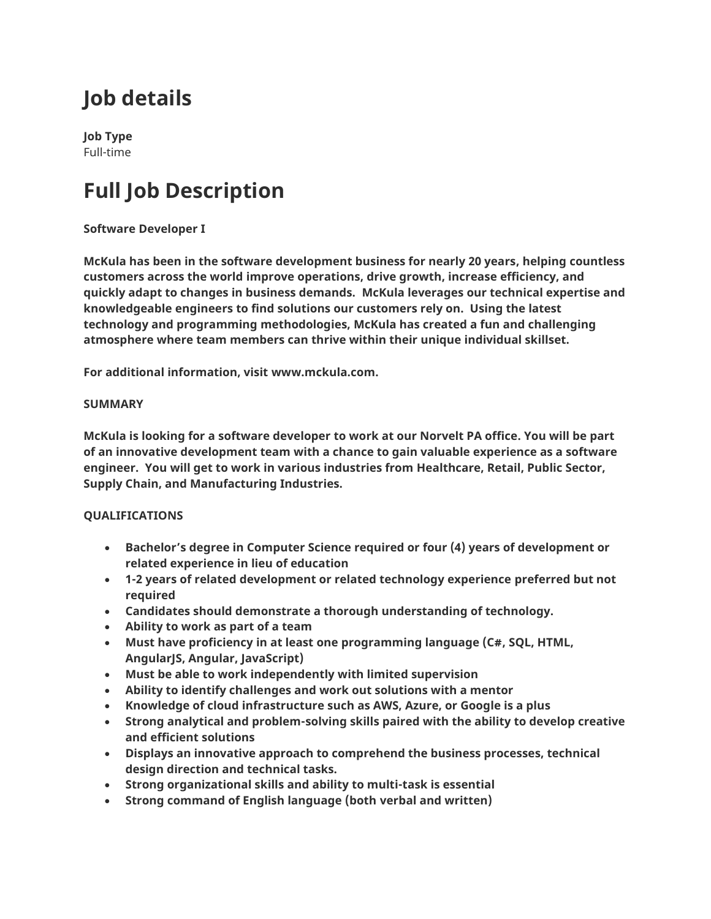# **Job details**

**Job Type** Full-time

# **Full Job Description**

### **Software Developer I**

**McKula has been in the software development business for nearly 20 years, helping countless customers across the world improve operations, drive growth, increase efficiency, and quickly adapt to changes in business demands. McKula leverages our technical expertise and knowledgeable engineers to find solutions our customers rely on. Using the latest technology and programming methodologies, McKula has created a fun and challenging atmosphere where team members can thrive within their unique individual skillset.**

**For additional information, visit www.mckula.com.**

### **SUMMARY**

**McKula is looking for a software developer to work at our Norvelt PA office. You will be part of an innovative development team with a chance to gain valuable experience as a software engineer. You will get to work in various industries from Healthcare, Retail, Public Sector, Supply Chain, and Manufacturing Industries.**

### **QUALIFICATIONS**

- **Bachelor's degree in Computer Science required or four (4) years of development or related experience in lieu of education**
- **1-2 years of related development or related technology experience preferred but not required**
- **Candidates should demonstrate a thorough understanding of technology.**
- **Ability to work as part of a team**
- **Must have proficiency in at least one programming language (C#, SQL, HTML, AngularJS, Angular, JavaScript)**
- **Must be able to work independently with limited supervision**
- **Ability to identify challenges and work out solutions with a mentor**
- **Knowledge of cloud infrastructure such as AWS, Azure, or Google is a plus**
- **Strong analytical and problem-solving skills paired with the ability to develop creative and efficient solutions**
- **Displays an innovative approach to comprehend the business processes, technical design direction and technical tasks.**
- **Strong organizational skills and ability to multi-task is essential**
- **Strong command of English language (both verbal and written)**